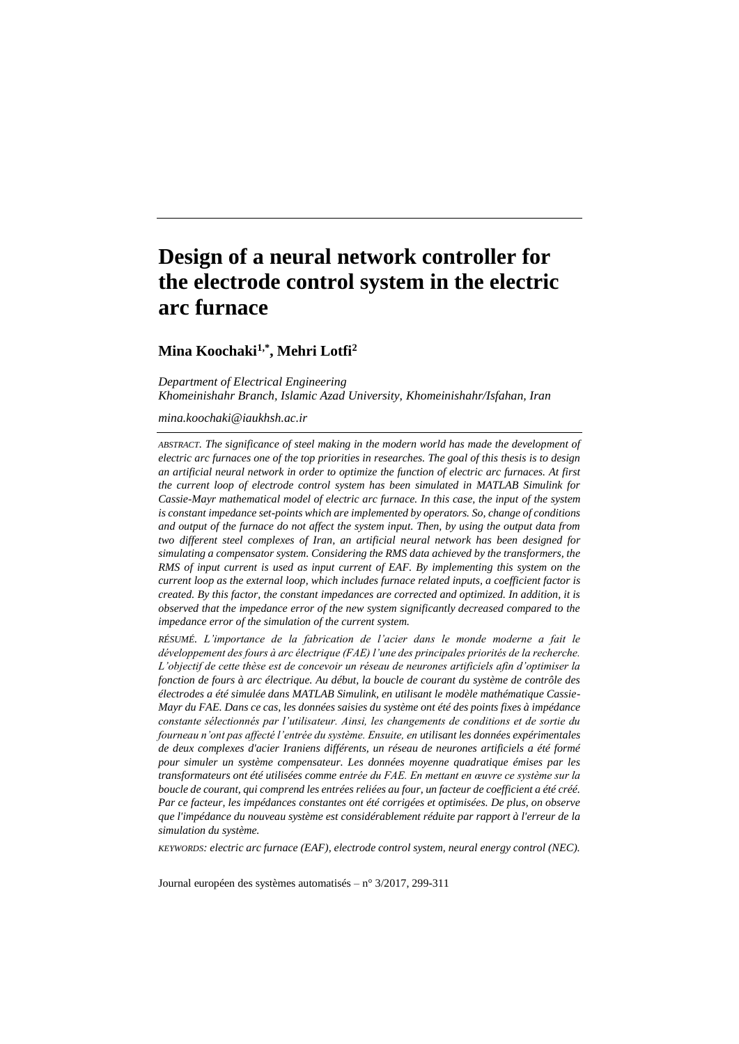# **Design of a neural network controller for the electrode control system in the electric arc furnace**

# **Mina Koochaki1,\*, Mehri Lotfi<sup>2</sup>**

*Department of Electrical Engineering Khomeinishahr Branch, Islamic Azad University, Khomeinishahr/Isfahan, Iran*

#### *mina.koochaki@iaukhsh.ac.ir*

*ABSTRACT. The significance of steel making in the modern world has made the development of electric arc furnaces one of the top priorities in researches. The goal of this thesis is to design an artificial neural network in order to optimize the function of electric arc furnaces. At first the current loop of electrode control system has been simulated in MATLAB Simulink for Cassie-Mayr mathematical model of electric arc furnace. In this case, the input of the system is constant impedance set-points which are implemented by operators. So, change of conditions and output of the furnace do not affect the system input. Then, by using the output data from two different steel complexes of Iran, an artificial neural network has been designed for simulating a compensator system. Considering the RMS data achieved by the transformers, the RMS of input current is used as input current of EAF. By implementing this system on the current loop as the external loop, which includes furnace related inputs, a coefficient factor is created. By this factor, the constant impedances are corrected and optimized. In addition, it is observed that the impedance error of the new system significantly decreased compared to the impedance error of the simulation of the current system.*

*RÉSUMÉ. L'importance de la fabrication de l'acier dans le monde moderne a fait le développement des fours à arc électrique (FAE) l'une des principales priorités de la recherche. L'objectif de cette thèse est de concevoir un réseau de neurones artificiels afin d'optimiser la fonction de fours à arc électrique. Au début, la boucle de courant du système de contrôle des électrodes a été simulée dans MATLAB Simulink, en utilisant le modèle mathématique Cassie-Mayr du FAE. Dans ce cas, les données saisies du système ont été des points fixes à impédance constante sélectionnés par l'utilisateur. Ainsi, les changements de conditions et de sortie du fourneau n'ont pas affecté l'entrée du système. Ensuite, en utilisant les données expérimentales de deux complexes d'acier Iraniens différents, un réseau de neurones artificiels a été formé pour simuler un système compensateur. Les données moyenne quadratique émises par les transformateurs ont été utilisées comme entrée du FAE. En mettant en œuvre ce système sur la boucle de courant, qui comprend les entrées reliées au four, un facteur de coefficient a été créé. Par ce facteur, les impédances constantes ont été corrigées et optimisées. De plus, on observe que l'impédance du nouveau système est considérablement réduite par rapport à l'erreur de la simulation du système.*

*KEYWORDS: electric arc furnace (EAF), electrode control system, neural energy control (NEC).*

Journal européen des systèmes automatisés – n°3/2017, 299-311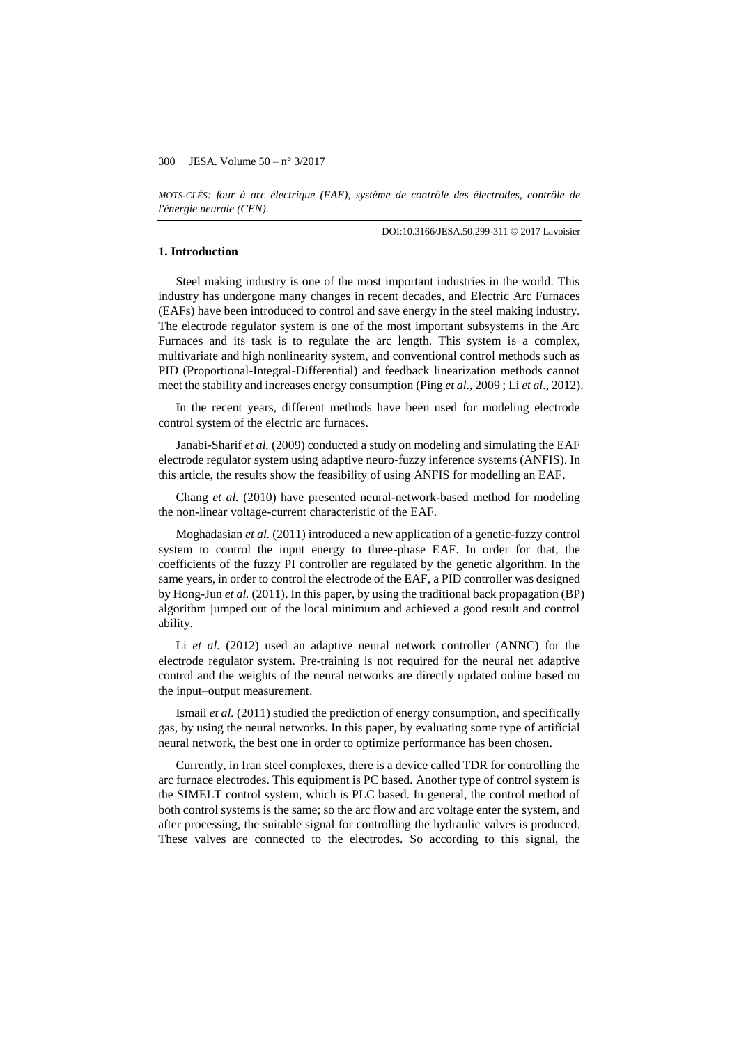*MOTS-CLÉS: four à arc électrique (FAE), système de contrôle des électrodes, contrôle de l'énergie neurale (CEN).*

DOI:10.3166/JESA.50.299-311 © 2017 Lavoisier

# **1. Introduction**

Steel making industry is one of the most important industries in the world. This industry has undergone many changes in recent decades, and Electric Arc Furnaces (EAFs) have been introduced to control and save energy in the steel making industry. The electrode regulator system is one of the most important subsystems in the Arc Furnaces and its task is to regulate the arc length. This system is a complex, multivariate and high nonlinearity system, and conventional control methods such as PID (Proportional-Integral-Differential) and feedback linearization methods cannot meet the stability and increases energy consumption (Ping *et al*., 2009 ; Li *et al*., 2012).

In the recent years, different methods have been used for modeling electrode control system of the electric arc furnaces.

Janabi-Sharif *et al.* (2009) conducted a study on modeling and simulating the EAF electrode regulator system using adaptive neuro-fuzzy inference systems (ANFIS). In this article, the results show the feasibility of using ANFIS for modelling an EAF.

Chang *et al.* (2010) have presented neural-network-based method for modeling the non-linear voltage-current characteristic of the EAF.

Moghadasian *et al.* (2011) introduced a new application of a genetic-fuzzy control system to control the input energy to three-phase EAF. In order for that, the coefficients of the fuzzy PI controller are regulated by the genetic algorithm. In the same years, in order to control the electrode of the EAF, a PID controller was designed by Hong-Jun *et al.* (2011). In this paper, by using the traditional back propagation (BP) algorithm jumped out of the local minimum and achieved a good result and control ability.

Li *et al.* (2012) used an adaptive neural network controller (ANNC) for the electrode regulator system. Pre-training is not required for the neural net adaptive control and the weights of the neural networks are directly updated online based on the input–output measurement.

Ismail *et al.* (2011) studied the prediction of energy consumption, and specifically gas, by using the neural networks. In this paper, by evaluating some type of artificial neural network, the best one in order to optimize performance has been chosen.

Currently, in Iran steel complexes, there is a device called TDR for controlling the arc furnace electrodes. This equipment is PC based. Another type of control system is the SIMELT control system, which is PLC based. In general, the control method of both control systems is the same; so the arc flow and arc voltage enter the system, and after processing, the suitable signal for controlling the hydraulic valves is produced. These valves are connected to the electrodes. So according to this signal, the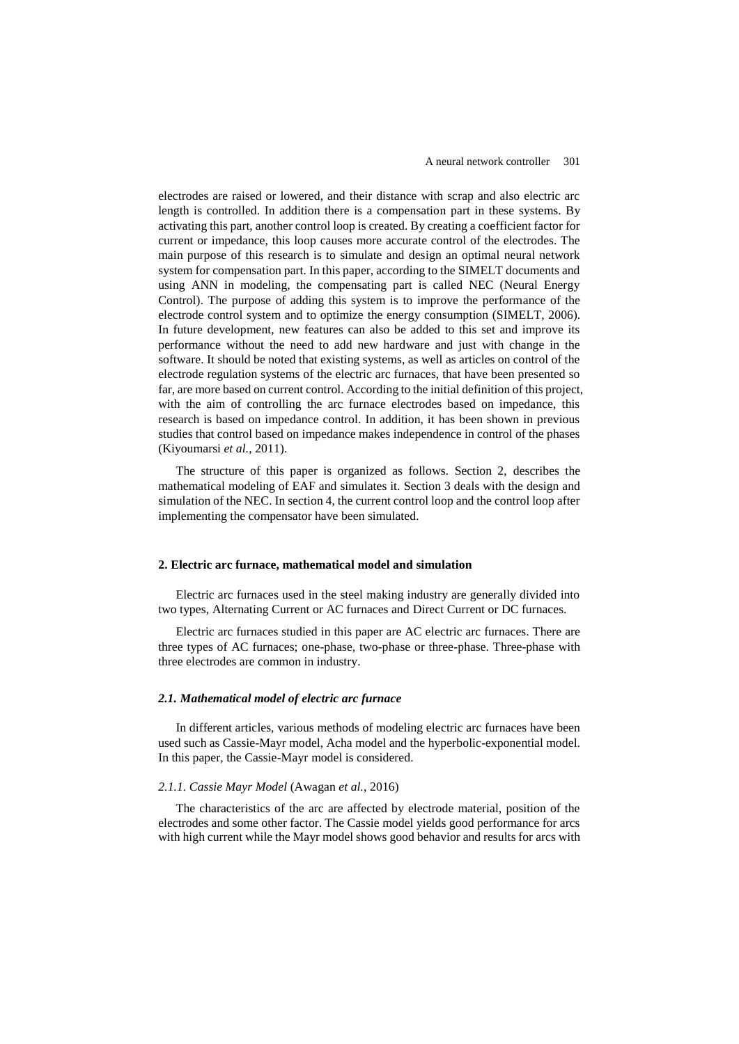electrodes are raised or lowered, and their distance with scrap and also electric arc length is controlled. In addition there is a compensation part in these systems. By activating this part, another control loop is created. By creating a coefficient factor for current or impedance, this loop causes more accurate control of the electrodes. The main purpose of this research is to simulate and design an optimal neural network system for compensation part. In this paper, according to the SIMELT documents and using ANN in modeling, the compensating part is called NEC (Neural Energy Control). The purpose of adding this system is to improve the performance of the electrode control system and to optimize the energy consumption (SIMELT, 2006). In future development, new features can also be added to this set and improve its performance without the need to add new hardware and just with change in the software. It should be noted that existing systems, as well as articles on control of the electrode regulation systems of the electric arc furnaces, that have been presented so far, are more based on current control. According to the initial definition of this project, with the aim of controlling the arc furnace electrodes based on impedance, this research is based on impedance control. In addition, it has been shown in previous studies that control based on impedance makes independence in control of the phases (Kiyoumarsi *et al.*, 2011).

The structure of this paper is organized as follows. Section 2, describes the mathematical modeling of EAF and simulates it. Section 3 deals with the design and simulation of the NEC. In section 4, the current control loop and the control loop after implementing the compensator have been simulated.

## **2. Electric arc furnace, mathematical model and simulation**

Electric arc furnaces used in the steel making industry are generally divided into two types, Alternating Current or AC furnaces and Direct Current or DC furnaces.

Electric arc furnaces studied in this paper are AC electric arc furnaces. There are three types of AC furnaces; one-phase, two-phase or three-phase. Three-phase with three electrodes are common in industry.

#### *2.1. Mathematical model of electric arc furnace*

In different articles, various methods of modeling electric arc furnaces have been used such as Cassie-Mayr model, Acha model and the hyperbolic-exponential model. In this paper, the Cassie-Mayr model is considered.

#### *2.1.1. Cassie Mayr Model* (Awagan *et al.*, 2016)

The characteristics of the arc are affected by electrode material, position of the electrodes and some other factor. The Cassie model yields good performance for arcs with high current while the Mayr model shows good behavior and results for arcs with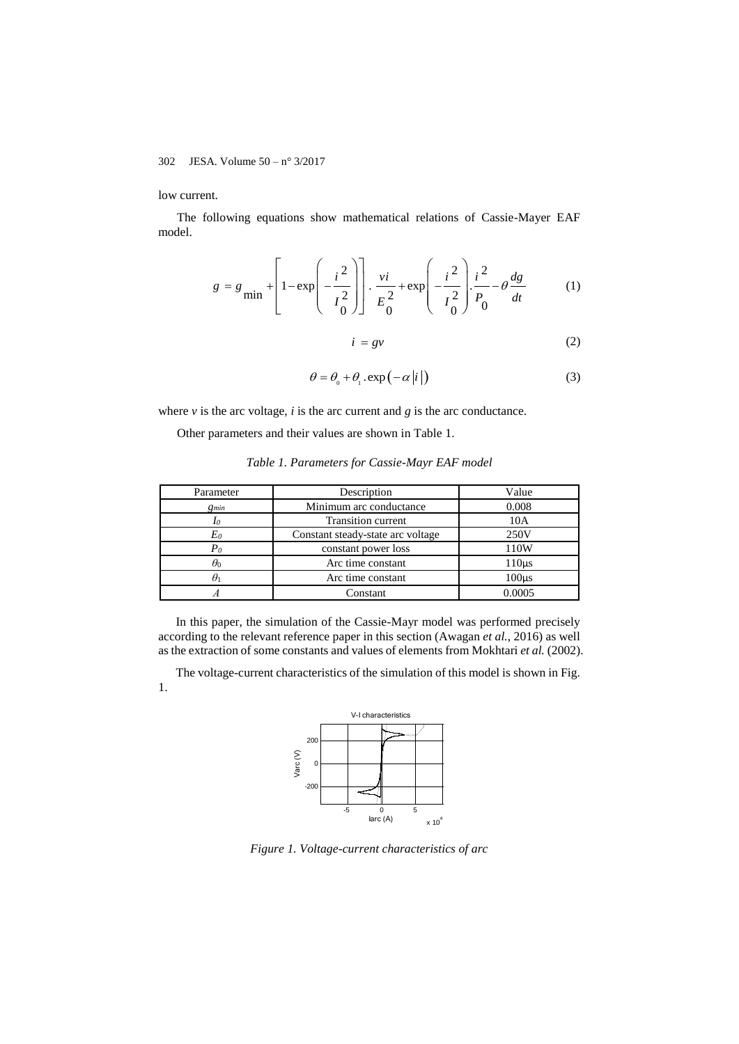low current.

The following equations show mathematical relations of Cassie-Mayer EAF model.

$$
g = g_{\min} + \left[ 1 - \exp\left( -\frac{i^2}{I_0^2} \right) \right] \cdot \frac{vi}{E_0^2} + \exp\left( -\frac{i^2}{I_0^2} \right) \cdot \frac{i^2}{P_0} - \theta \frac{dg}{dt}
$$
 (1)

$$
i = gv \tag{2}
$$

$$
\theta = \theta_0 + \theta_1 \cdot \exp(-\alpha |i|)
$$
 (3)

where  $\nu$  is the arc voltage,  $i$  is the arc current and  $g$  is the arc conductance.

Other parameters and their values are shown in Table 1.

| Table 1. Parameters for Cassie-Mayr EAF model |  |  |  |
|-----------------------------------------------|--|--|--|
|                                               |  |  |  |

| Parameter  | Description                       | Value      |
|------------|-----------------------------------|------------|
| $g_{min}$  | Minimum arc conductance           | 0.008      |
| Io         | <b>Transition current</b>         | 10A        |
| Eo         | Constant steady-state arc voltage | 250V       |
| $P_{0}$    | constant power loss               | 110W       |
| $\theta_0$ | Arc time constant                 | $110\mu s$ |
| $\theta_1$ | Arc time constant                 | $100\mu s$ |
|            | Constant                          | 0.0005     |

In this paper, the simulation of the Cassie-Mayr model was performed precisely according to the relevant reference paper in this section (Awagan *et al.*, 2016) as well as the extraction of some constants and values of elements from Mokhtari *et al.* (2002).

The voltage-current characteristics of the simulation of this model is shown in Fig. 1.



*Figure 1. Voltage-current characteristics of arc*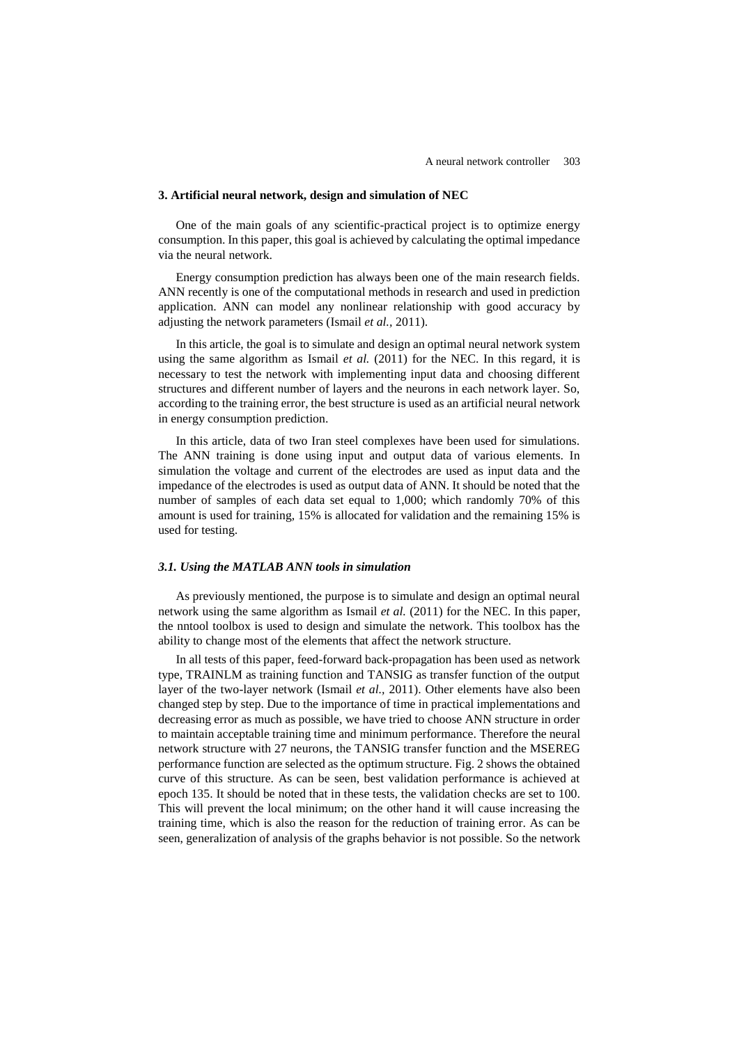#### **3. Artificial neural network, design and simulation of NEC**

One of the main goals of any scientific-practical project is to optimize energy consumption. In this paper, this goal is achieved by calculating the optimal impedance via the neural network.

Energy consumption prediction has always been one of the main research fields. ANN recently is one of the computational methods in research and used in prediction application. ANN can model any nonlinear relationship with good accuracy by adjusting the network parameters (Ismail *et al.,* 2011).

In this article, the goal is to simulate and design an optimal neural network system using the same algorithm as Ismail *et al.* (2011) for the NEC. In this regard, it is necessary to test the network with implementing input data and choosing different structures and different number of layers and the neurons in each network layer. So, according to the training error, the best structure is used as an artificial neural network in energy consumption prediction.

In this article, data of two Iran steel complexes have been used for simulations. The ANN training is done using input and output data of various elements. In simulation the voltage and current of the electrodes are used as input data and the impedance of the electrodes is used as output data of ANN. It should be noted that the number of samples of each data set equal to 1,000; which randomly 70% of this amount is used for training, 15% is allocated for validation and the remaining 15% is used for testing.

#### *3.1. Using the MATLAB ANN tools in simulation*

As previously mentioned, the purpose is to simulate and design an optimal neural network using the same algorithm as Ismail *et al.* (2011) for the NEC. In this paper, the nntool toolbox is used to design and simulate the network. This toolbox has the ability to change most of the elements that affect the network structure.

In all tests of this paper, feed-forward back-propagation has been used as network type, TRAINLM as training function and TANSIG as transfer function of the output layer of the two-layer network (Ismail *et al.,* 2011). Other elements have also been changed step by step. Due to the importance of time in practical implementations and decreasing error as much as possible, we have tried to choose ANN structure in order to maintain acceptable training time and minimum performance. Therefore the neural network structure with 27 neurons, the TANSIG transfer function and the MSEREG performance function are selected as the optimum structure. Fig. 2 shows the obtained curve of this structure. As can be seen, best validation performance is achieved at epoch 135. It should be noted that in these tests, the validation checks are set to 100. This will prevent the local minimum; on the other hand it will cause increasing the training time, which is also the reason for the reduction of training error. As can be seen, generalization of analysis of the graphs behavior is not possible. So the network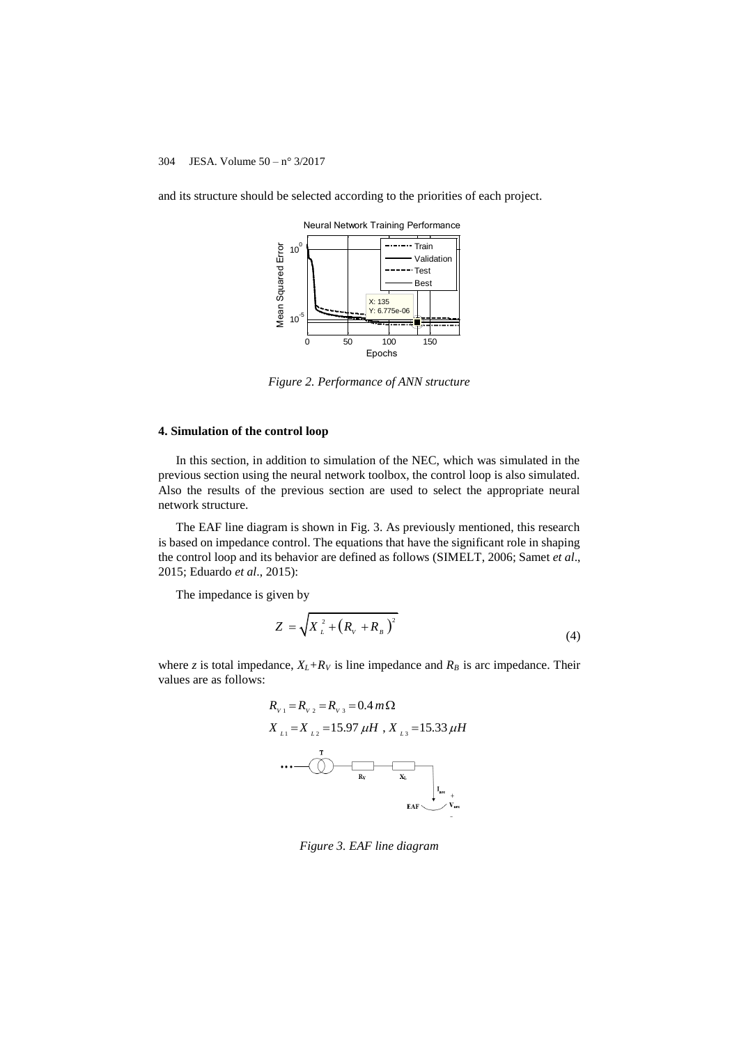and its structure should be selected according to the priorities of each project.



*Figure 2. Performance of ANN structure*

## **4. Simulation of the control loop**

In this section, in addition to simulation of the NEC, which was simulated in the previous section using the neural network toolbox, the control loop is also simulated. Also the results of the previous section are used to select the appropriate neural network structure.

The EAF line diagram is shown in Fig. 3. As previously mentioned, this research is based on impedance control. The equations that have the significant role in shaping the control loop and its behavior are defined as follows (SIMELT, 2006; Samet *et al*., 2015; Eduardo *et al*., 2015):

The impedance is given by

$$
Z = \sqrt{X_{L}^{2} + (R_{V} + R_{B})^{2}}
$$
\n(4)

where *z* is total impedance,  $X_L + R_V$  is line impedance and  $R_B$  is arc impedance. Their values are as follows:

$$
R_{v_1} = R_{v_2} = R_{v_3} = 0.4 \, m\Omega
$$
\n
$$
X_{L1} = X_{L2} = 15.97 \, \mu H \, , \, X_{L3} = 15.33 \, \mu H
$$
\n...

*Figure 3. EAF line diagram*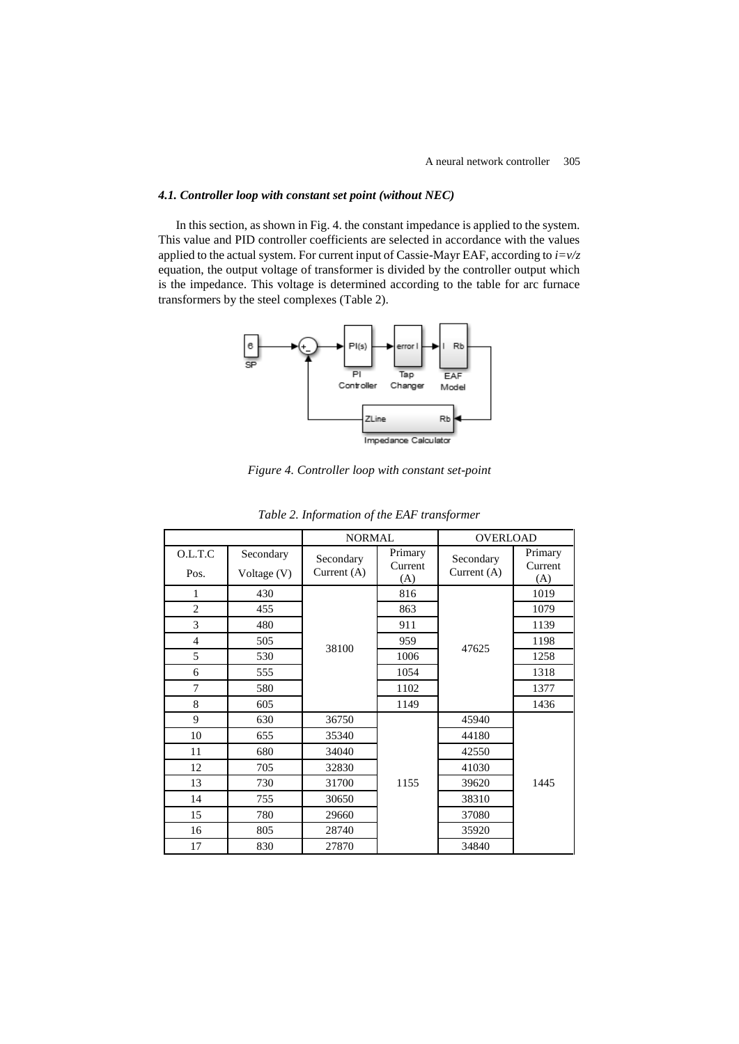# *4.1. Controller loop with constant set point (without NEC)*

In this section, as shown in Fig. 4. the constant impedance is applied to the system. This value and PID controller coefficients are selected in accordance with the values applied to the actual system. For current input of Cassie-Mayr EAF, according to *i=v/z* equation, the output voltage of transformer is divided by the controller output which is the impedance. This voltage is determined according to the table for arc furnace transformers by the steel complexes (Table 2).



*Figure 4. Controller loop with constant set-point*

|                 |                          | <b>NORMAL</b>            |                    | <b>OVERLOAD</b>            |                    |
|-----------------|--------------------------|--------------------------|--------------------|----------------------------|--------------------|
| O.L.T.C<br>Pos. | Secondary<br>Voltage (V) | Secondary<br>Current (A) | Primary<br>Current | Secondary<br>Current $(A)$ | Primary<br>Current |
| 1               | 430                      |                          | (A)<br>816         |                            | (A)<br>1019        |
| $\overline{2}$  | 455                      | 38100                    | 863                |                            | 1079               |
| 3               | 480                      |                          | 911                |                            | 1139               |
| $\overline{4}$  | 505                      |                          | 959                |                            | 1198               |
| 5               | 530                      |                          | 1006               | 47625                      | 1258               |
| 6               | 555                      |                          | 1054               |                            | 1318               |
| 7               | 580                      |                          | 1102               |                            | 1377               |
| 8               | 605                      |                          | 1149               |                            | 1436               |
| 9               | 630                      | 36750                    |                    | 45940                      |                    |
| 10              | 655                      | 35340                    |                    | 44180                      |                    |
| 11              | 680                      | 34040                    |                    | 42550                      |                    |
| 12              | 705                      | 32830                    | 1155               | 41030                      |                    |
| 13              | 730                      | 31700                    |                    | 39620                      | 1445               |
| 14              | 755                      | 30650                    |                    | 38310                      |                    |
| 15              | 780                      | 29660                    |                    | 37080                      |                    |
| 16              | 805                      | 28740                    |                    | 35920                      |                    |
| 17              | 830                      | 27870                    |                    | 34840                      |                    |

| Table 2. Information of the EAF transformer |  |  |
|---------------------------------------------|--|--|
|                                             |  |  |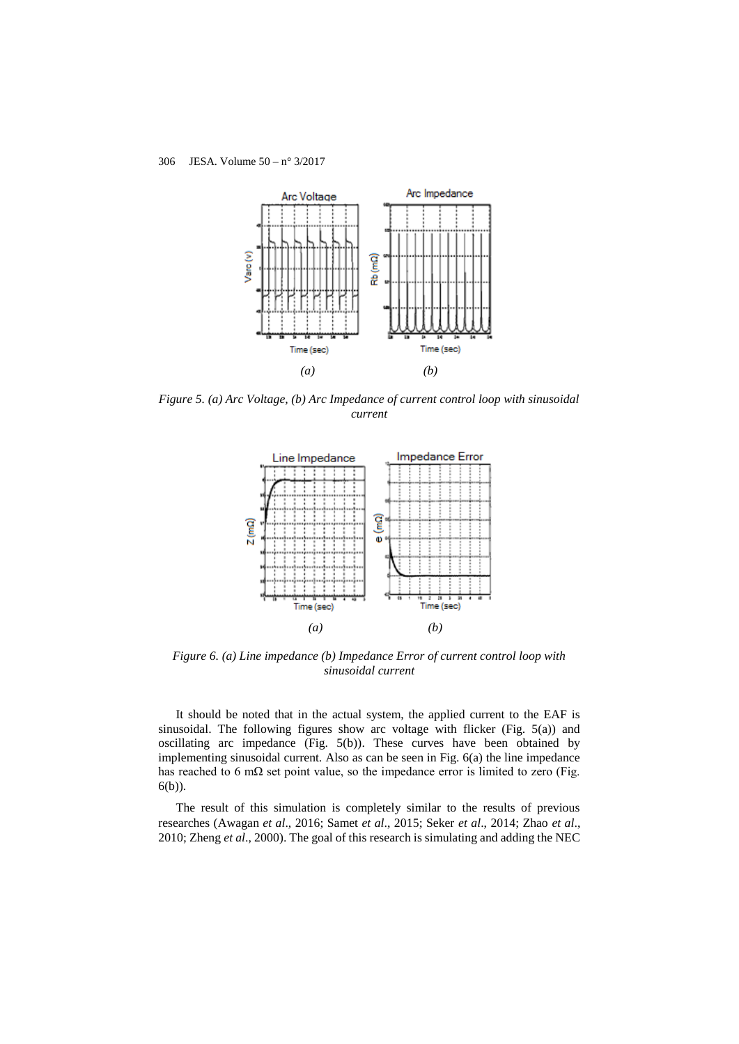

*Figure 5. (a) Arc Voltage, (b) Arc Impedance of current control loop with sinusoidal current*



*Figure 6. (a) Line impedance (b) Impedance Error of current control loop with sinusoidal current*

It should be noted that in the actual system, the applied current to the EAF is sinusoidal. The following figures show arc voltage with flicker (Fig. 5(a)) and oscillating arc impedance (Fig.  $5(b)$ ). These curves have been obtained by implementing sinusoidal current. Also as can be seen in Fig. 6(a) the line impedance has reached to 6 m $\Omega$  set point value, so the impedance error is limited to zero (Fig. 6(b)).

The result of this simulation is completely similar to the results of previous researches (Awagan *et al*., 2016; Samet *et al*., 2015; Seker *et al*., 2014; Zhao *et al*., 2010; Zheng *et al*., 2000). The goal of this research is simulating and adding the NEC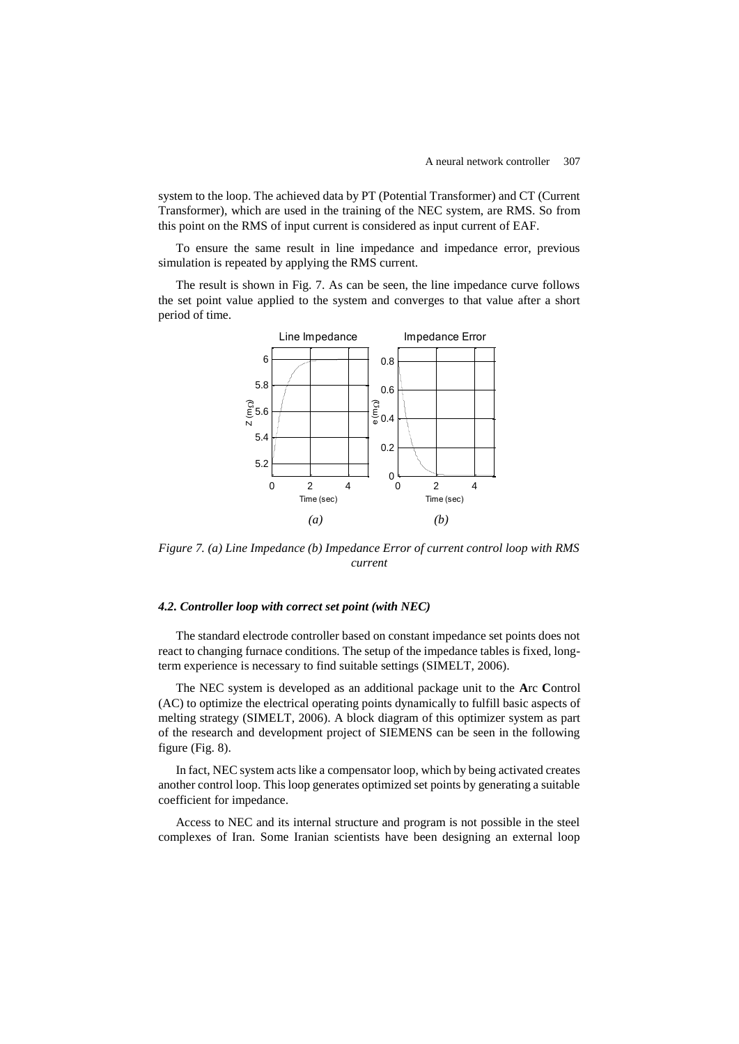system to the loop. The achieved data by PT (Potential Transformer) and CT (Current Transformer), which are used in the training of the NEC system, are RMS. So from this point on the RMS of input current is considered as input current of EAF.

To ensure the same result in line impedance and impedance error, previous simulation is repeated by applying the RMS current.

The result is shown in Fig. 7. As can be seen, the line impedance curve follows the set point value applied to the system and converges to that value after a short period of time.



*Figure 7. (a) Line Impedance (b) Impedance Error of current control loop with RMS current*

## *4.2. Controller loop with correct set point (with NEC)*

The standard electrode controller based on constant impedance set points does not react to changing furnace conditions. The setup of the impedance tables is fixed, longterm experience is necessary to find suitable settings (SIMELT, 2006).

The NEC system is developed as an additional package unit to the **A**rc **C**ontrol (AC) to optimize the electrical operating points dynamically to fulfill basic aspects of melting strategy (SIMELT, 2006). A block diagram of this optimizer system as part of the research and development project of SIEMENS can be seen in the following figure (Fig. 8).

In fact, NEC system acts like a compensator loop, which by being activated creates another control loop. This loop generates optimized set points by generating a suitable coefficient for impedance.

Access to NEC and its internal structure and program is not possible in the steel complexes of Iran. Some Iranian scientists have been designing an external loop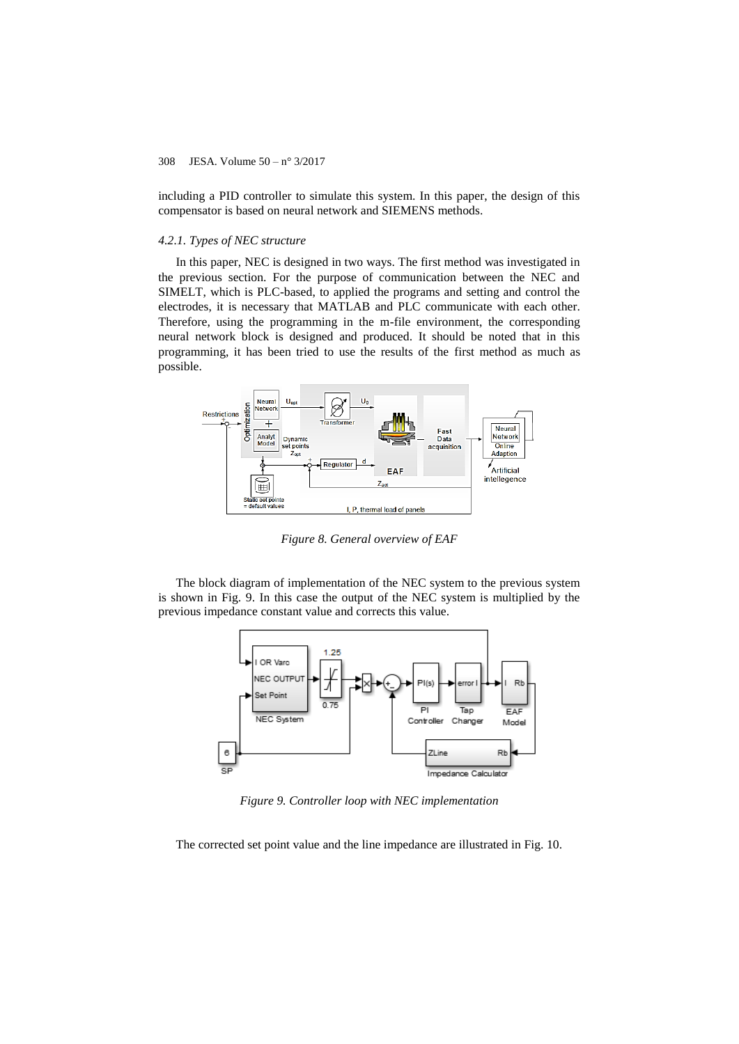including a PID controller to simulate this system. In this paper, the design of this compensator is based on neural network and SIEMENS methods.

#### *4.2.1. Types of NEC structure*

In this paper, NEC is designed in two ways. The first method was investigated in the previous section. For the purpose of communication between the NEC and SIMELT, which is PLC-based, to applied the programs and setting and control the electrodes, it is necessary that MATLAB and PLC communicate with each other. Therefore, using the programming in the m-file environment, the corresponding neural network block is designed and produced. It should be noted that in this programming, it has been tried to use the results of the first method as much as possible.



*Figure 8. General overview of EAF*

The block diagram of implementation of the NEC system to the previous system is shown in Fig. 9. In this case the output of the NEC system is multiplied by the previous impedance constant value and corrects this value.



*Figure 9. Controller loop with NEC implementation*

The corrected set point value and the line impedance are illustrated in Fig. 10.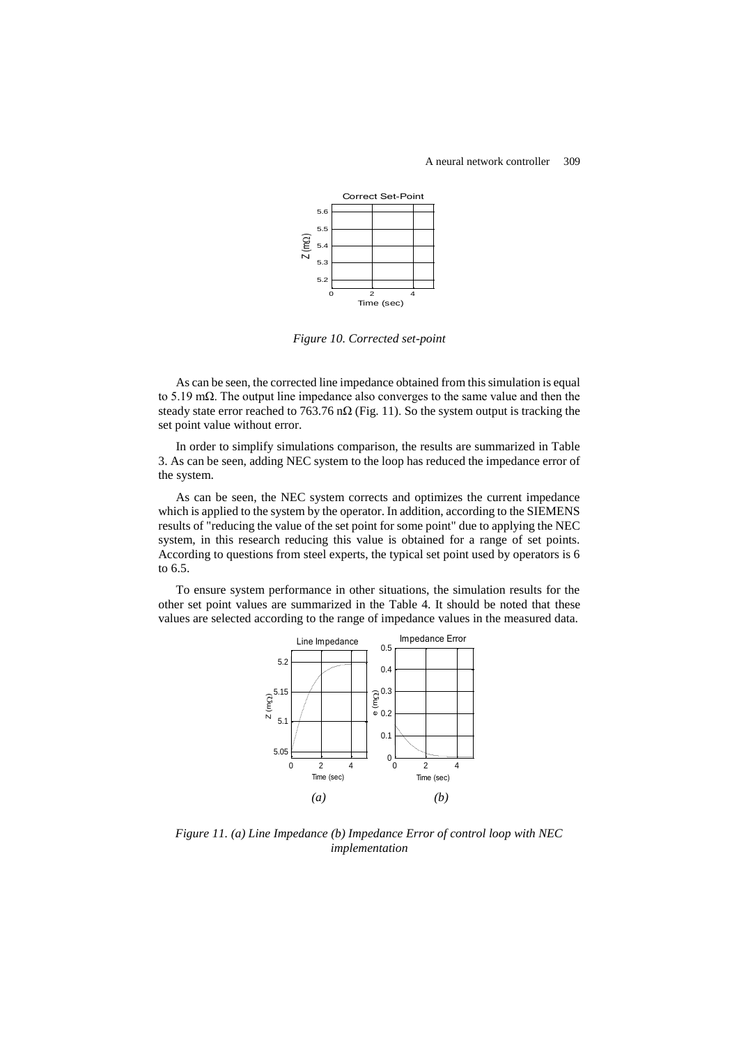

*Figure 10. Corrected set-point*

As can be seen, the corrected line impedance obtained from this simulation is equal to 5.19 mΩ. The output line impedance also converges to the same value and then the steady state error reached to 763.76 n $\Omega$  (Fig. 11). So the system output is tracking the set point value without error.

In order to simplify simulations comparison, the results are summarized in Table 3. As can be seen, adding NEC system to the loop has reduced the impedance error of the system.

As can be seen, the NEC system corrects and optimizes the current impedance which is applied to the system by the operator. In addition, according to the SIEMENS results of "reducing the value of the set point for some point" due to applying the NEC system, in this research reducing this value is obtained for a range of set points. According to questions from steel experts, the typical set point used by operators is 6 to 6.5.

To ensure system performance in other situations, the simulation results for the other set point values are summarized in the Table 4. It should be noted that these values are selected according to the range of impedance values in the measured data.



*Figure 11. (a) Line Impedance (b) Impedance Error of control loop with NEC implementation*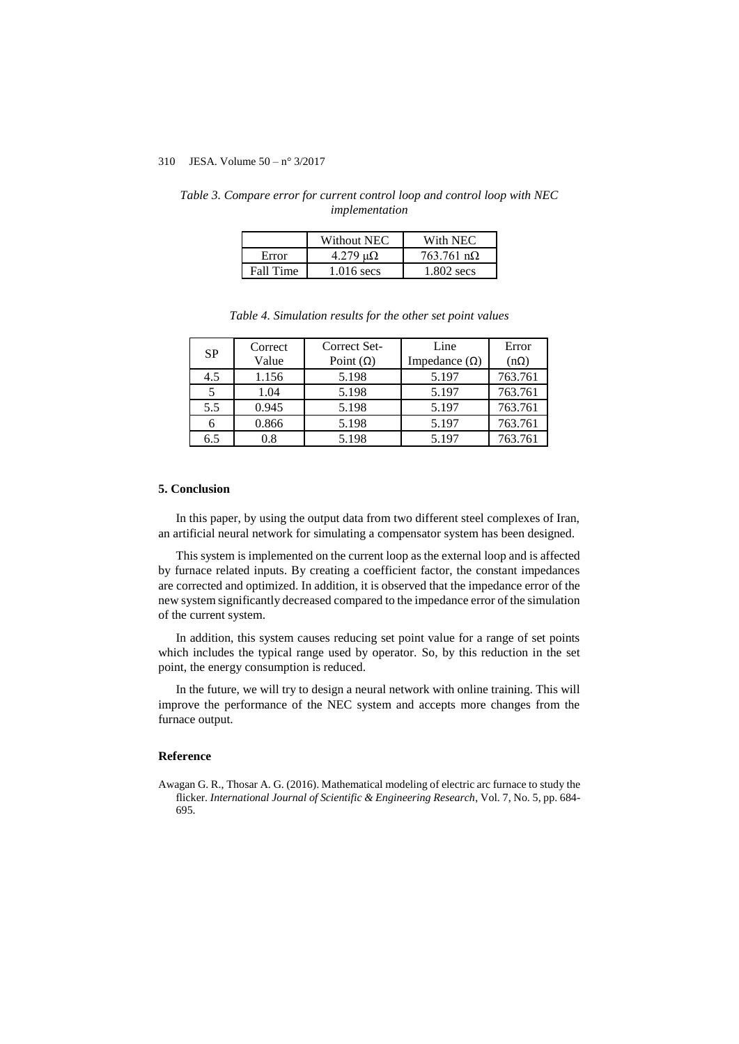|           | Without NEC       | With NEC                  |
|-----------|-------------------|---------------------------|
| Error     | 4.279 $\mu\Omega$ | $763.761 \text{ n}\Omega$ |
| Fall Time | 1.016 secs        | 1.802 secs                |

*Table 3. Compare error for current control loop and control loop with NEC implementation*

| Tubic 1. Statutum results for the ball set point ruthes |         |                  |                      |             |  |  |  |
|---------------------------------------------------------|---------|------------------|----------------------|-------------|--|--|--|
| <b>SP</b>                                               | Correct | Correct Set-     | Line                 | Error       |  |  |  |
|                                                         | Value   | Point $(\Omega)$ | Impedance $(\Omega)$ | $(n\Omega)$ |  |  |  |
| 4.5                                                     | 1.156   | 5.198            | 5.197                | 763.761     |  |  |  |
| 5                                                       | 1.04    | 5.198            | 5.197                | 763.761     |  |  |  |
| 5.5                                                     | 0.945   | 5.198            | 5.197                | 763.761     |  |  |  |
|                                                         | 0.866   | 5.198            | 5.197                | 763.761     |  |  |  |

6.5 0.8 5.198 5.197 763.761

*Table 4. Simulation results for the other set point values*

#### **5. Conclusion**

In this paper, by using the output data from two different steel complexes of Iran, an artificial neural network for simulating a compensator system has been designed.

This system is implemented on the current loop as the external loop and is affected by furnace related inputs. By creating a coefficient factor, the constant impedances are corrected and optimized. In addition, it is observed that the impedance error of the new system significantly decreased compared to the impedance error of the simulation of the current system.

In addition, this system causes reducing set point value for a range of set points which includes the typical range used by operator. So, by this reduction in the set point, the energy consumption is reduced.

In the future, we will try to design a neural network with online training. This will improve the performance of the NEC system and accepts more changes from the furnace output.

## **Reference**

Awagan G. R., Thosar A. G. (2016). Mathematical modeling of electric arc furnace to study the flicker. *International Journal of Scientific & Engineering Research*, Vol. 7, No. 5, pp. 684- 695.